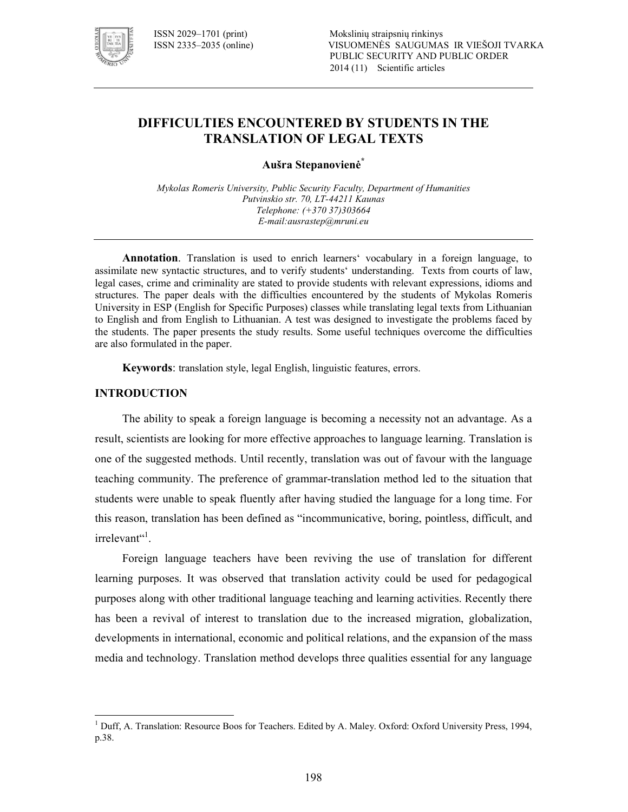

# **DIFFICULTIES ENCOUNTERED BY STUDENTS IN THE TRANSLATION OF LEGAL TEXTS**

**Aušra Stepanovienė\***

*Mykolas Romeris University, Public Security Faculty, Department of Humanities*  Putvinskio str. 70, LT-44211 Kaunas *Telephone: (+370 37)303664 E!mail:ausrastep@mruni.eu* 

**Annotation**. Translation is used to enrich learners' vocabulary in a foreign language, to assimilate new syntactic structures, and to verify students' understanding. Texts from courts of law, legal cases, crime and criminality are stated to provide students with relevant expressions, idioms and structures. The paper deals with the difficulties encountered by the students of Mykolas Romeris University in ESP (English for Specific Purposes) classes while translating legal texts from Lithuanian to English and from English to Lithuanian. A test was designed to investigate the problems faced by the students. The paper presents the study results. Some useful techniques overcome the difficulties are also formulated in the paper.

**Keywords**: translation style, legal English, linguistic features, errors.

#### **INTRODUCTION**

 $\overline{a}$ 

The ability to speak a foreign language is becoming a necessity not an advantage. As a result, scientists are looking for more effective approaches to language learning. Translation is one of the suggested methods. Until recently, translation was out of favour with the language teaching community. The preference of grammartranslation method led to the situation that students were unable to speak fluently after having studied the language for a long time. For this reason, translation has been defined as "incommunicative, boring, pointless, difficult, and irrelevant"<sup>1</sup>.

Foreign language teachers have been reviving the use of translation for different learning purposes. It was observed that translation activity could be used for pedagogical purposes along with other traditional language teaching and learning activities. Recently there has been a revival of interest to translation due to the increased migration, globalization, developments in international, economic and political relations, and the expansion of the mass media and technology. Translation method develops three qualities essential for any language

<sup>&</sup>lt;sup>1</sup> Duff, A. Translation: Resource Boos for Teachers. Edited by A. Maley. Oxford: Oxford University Press, 1994, p.38.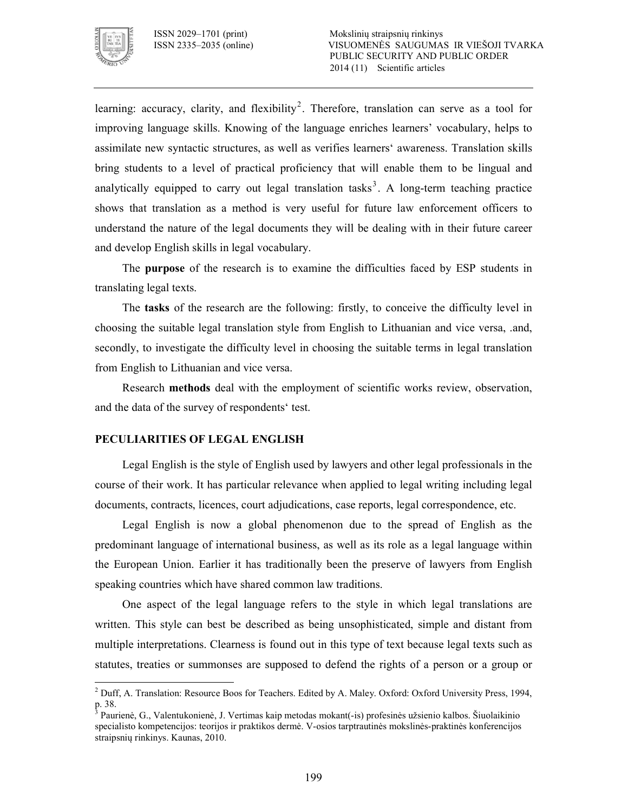

 $\overline{a}$ 

learning: accuracy, clarity, and flexibility<sup>2</sup>. Therefore, translation can serve as a tool for improving language skills. Knowing of the language enriches learners' vocabulary, helps to assimilate new syntactic structures, as well as verifies learners' awareness. Translation skills bring students to a level of practical proficiency that will enable them to be lingual and analytically equipped to carry out legal translation tasks<sup>3</sup>. A long-term teaching practice shows that translation as a method is very useful for future law enforcement officers to understand the nature of the legal documents they will be dealing with in their future career and develop English skills in legal vocabulary.

The **purpose** of the research is to examine the difficulties faced by ESP students in translating legal texts.

The **tasks** of the research are the following: firstly, to conceive the difficulty level in choosing the suitable legal translation style from English to Lithuanian and vice versa, .and, secondly, to investigate the difficulty level in choosing the suitable terms in legal translation from English to Lithuanian and vice versa.

Research **methods** deal with the employment of scientific works review, observation, and the data of the survey of respondents' test.

#### **PECULIARITIES OF LEGAL ENGLISH**

Legal English is the style of English used by lawyers and other legal professionals in the course of their work. It has particular relevance when applied to legal writing including legal documents, contracts, licences, court adjudications, case reports, legal correspondence, etc.

Legal English is now a global phenomenon due to the spread of English as the predominant language of international business, as well as its role as a legal language within the European Union. Earlier it has traditionally been the preserve of lawyers from English speaking countries which have shared common law traditions.

One aspect of the legal language refers to the style in which legal translations are written. This style can best be described as being unsophisticated, simple and distant from multiple interpretations. Clearness is found out in this type of text because legal texts such as statutes, treaties or summonses are supposed to defend the rights of a person or a group or

<sup>&</sup>lt;sup>2</sup> Duff, A. Translation: Resource Boos for Teachers. Edited by A. Maley. Oxford: Oxford University Press, 1994, p. 38.

<sup>&</sup>lt;sup>3</sup> Paurienė, G., Valentukonienė, J. Vertimas kaip metodas mokant(-is) profesinės užsienio kalbos. Šiuolaikinio specialisto kompetencijos: teorijos ir praktikos dermė. V-osios tarptrautinės mokslinės-praktinės konferencijos straipsnių rinkinys. Kaunas, 2010.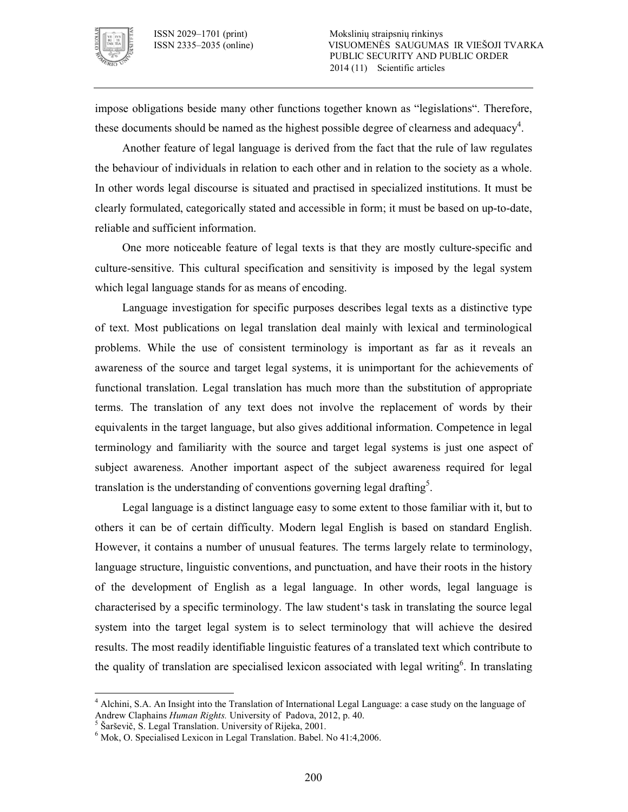

impose obligations beside many other functions together known as "legislations". Therefore, these documents should be named as the highest possible degree of clearness and adequacy<sup>4</sup>.

Another feature of legal language is derived from the fact that the rule of law regulates the behaviour of individuals in relation to each other and in relation to the society as a whole. In other words legal discourse is situated and practised in specialized institutions. It must be clearly formulated, categorically stated and accessible in form; it must be based on up-to-date, reliable and sufficient information.

One more noticeable feature of legal texts is that they are mostly culture-specific and culture-sensitive. This cultural specification and sensitivity is imposed by the legal system which legal language stands for as means of encoding.

Language investigation for specific purposes describes legal texts as a distinctive type of text. Most publications on legal translation deal mainly with lexical and terminological problems. While the use of consistent terminology is important as far as it reveals an awareness of the source and target legal systems, it is unimportant for the achievements of functional translation. Legal translation has much more than the substitution of appropriate terms. The translation of any text does not involve the replacement of words by their equivalents in the target language, but also gives additional information. Competence in legal terminology and familiarity with the source and target legal systems is just one aspect of subject awareness. Another important aspect of the subject awareness required for legal translation is the understanding of conventions governing legal drafting<sup>5</sup>.

Legal language is a distinct language easy to some extent to those familiar with it, but to others it can be of certain difficulty. Modern legal English is based on standard English. However, it contains a number of unusual features. The terms largely relate to terminology, language structure, linguistic conventions, and punctuation, and have their roots in the history of the development of English as a legal language. In other words, legal language is characterised by a specific terminology. The law student's task in translating the source legal system into the target legal system is to select terminology that will achieve the desired results. The most readily identifiable linguistic features of a translated text which contribute to the quality of translation are specialised lexicon associated with legal writing<sup>6</sup>. In translating

 $\overline{a}$ 

<sup>&</sup>lt;sup>4</sup> Alchini, S.A. An Insight into the Translation of International Legal Language: a case study on the language of Andrew Claphains *Human Rights.* University of Padova, 2012, p. 40. 5 Šarševič, S. Legal Translation. University of Rijeka, 2001.

<sup>6</sup> Mok, O. Specialised Lexicon in Legal Translation. Babel. No 41:4,2006.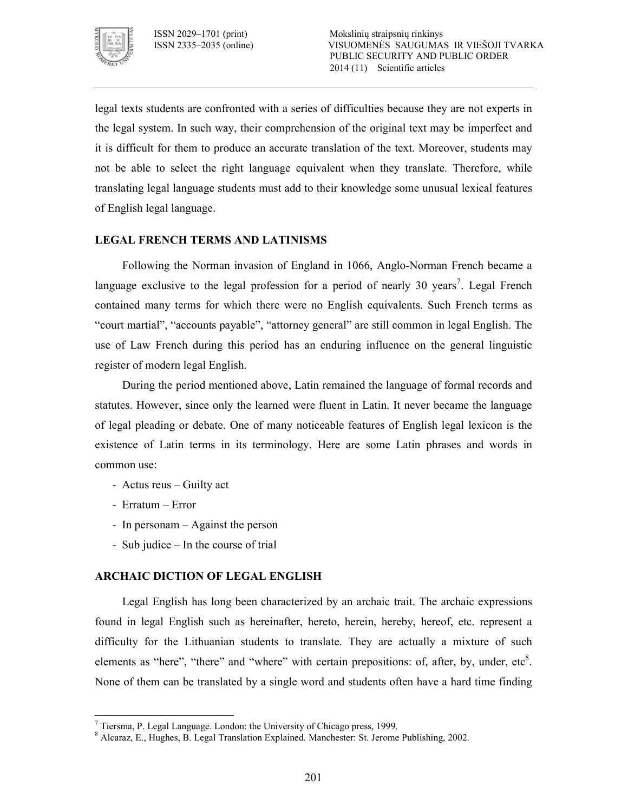

legal texts students are confronted with a series of difficulties because they are not experts in the legal system. In such way, their comprehension of the original text may be imperfect and it is difficult for them to produce an accurate translation of the text. Moreover, students may not be able to select the right language equivalent when they translate. Therefore, while translating legal language students must add to their knowledge some unusual lexical features of English legal language.

## **LEGAL FRENCH TERMS AND LATINISMS**

Following the Norman invasion of England in 1066, Anglo-Norman French became a language exclusive to the legal profession for a period of nearly 30 years<sup>7</sup>. Legal French contained many terms for which there were no English equivalents. Such French terms as "court martial", "accounts payable", "attorney general" are still common in legal English. The use of Law French during this period has an enduring influence on the general linguistic register of modern legal English.

During the period mentioned above, Latin remained the language of formal records and statutes. However, since only the learned were fluent in Latin. It never became the language of legal pleading or debate. One of many noticeable features of English legal lexicon is the existence of Latin terms in its terminology. Here are some Latin phrases and words in common use:

- Actus reus Guilty act
- Erratum Error
- In personam Against the person
- Sub judice In the course of trial

#### **ARCHAIC DICTION OF LEGAL ENGLISH**

Legal English has long been characterized by an archaic trait. The archaic expressions found in legal English such as hereinafter, hereto, herein, hereby, hereof, etc. represent a difficulty for the Lithuanian students to translate. They are actually a mixture of such elements as "here", "there" and "where" with certain prepositions: of, after, by, under, etc $8$ . None of them can be translated by a single word and students often have a hard time finding

 $\overline{a}$  $<sup>7</sup>$  Tiersma, P. Legal Language. London: the University of Chicago press, 1999.</sup>

<sup>8</sup> Alcaraz, E., Hughes, B. Legal Translation Explained. Manchester: St. Jerome Publishing, 2002.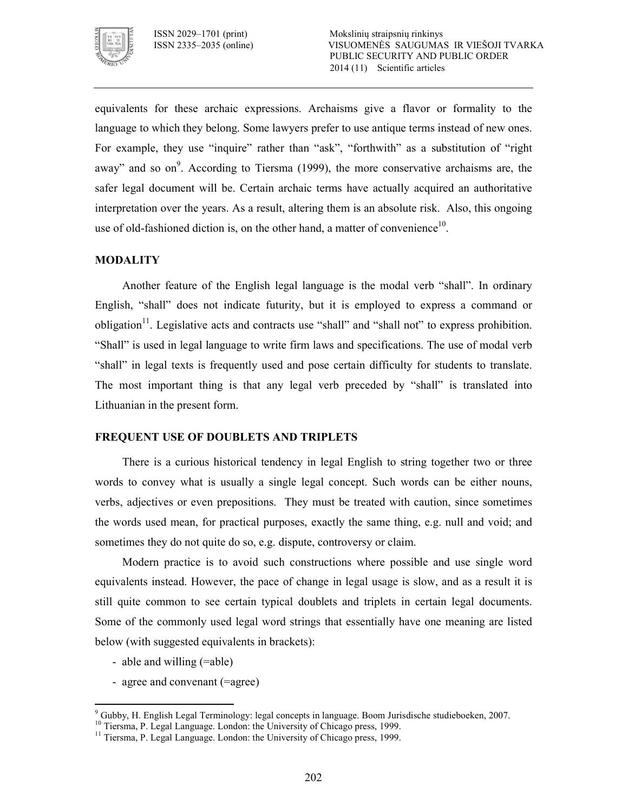

equivalents for these archaic expressions. Archaisms give a flavor or formality to the language to which they belong. Some lawyers prefer to use antique terms instead of new ones. For example, they use "inquire" rather than "ask", "forthwith" as a substitution of "right" away" and so on<sup>9</sup>. According to Tiersma (1999), the more conservative archaisms are, the safer legal document will be. Certain archaic terms have actually acquired an authoritative interpretation over the years. As a result, altering them is an absolute risk. Also, this ongoing use of old-fashioned diction is, on the other hand, a matter of convenience<sup>10</sup>.

## **MODALITY**

Another feature of the English legal language is the modal verb "shall". In ordinary English, "shall" does not indicate futurity, but it is employed to express a command or obligation $11$ . Legislative acts and contracts use "shall" and "shall not" to express prohibition. "Shall" is used in legal language to write firm laws and specifications. The use of modal verb "shall" in legal texts is frequently used and pose certain difficulty for students to translate. The most important thing is that any legal verb preceded by "shall" is translated into Lithuanian in the present form.

#### **FREQUENT USE OF DOUBLETS AND TRIPLETS**

There is a curious historical tendency in legal English to string together two or three words to convey what is usually a single legal concept. Such words can be either nouns, verbs, adjectives or even prepositions. They must be treated with caution, since sometimes the words used mean, for practical purposes, exactly the same thing, e.g. null and void; and sometimes they do not quite do so, e.g. dispute, controversy or claim.

Modern practice is to avoid such constructions where possible and use single word equivalents instead. However, the pace of change in legal usage is slow, and as a result it is still quite common to see certain typical doublets and triplets in certain legal documents. Some of the commonly used legal word strings that essentially have one meaning are listed below (with suggested equivalents in brackets):

- able and willing (=able)

 $\overline{a}$ 

- agree and convenant (=agree)

<sup>9</sup> Gubby, H. English Legal Terminology: legal concepts in language. Boom Jurisdische studieboeken, 2007.

<sup>&</sup>lt;sup>10</sup> Tiersma, P. Legal Language. London: the University of Chicago press, 1999.

<sup>&</sup>lt;sup>11</sup> Tiersma, P. Legal Language. London: the University of Chicago press, 1999.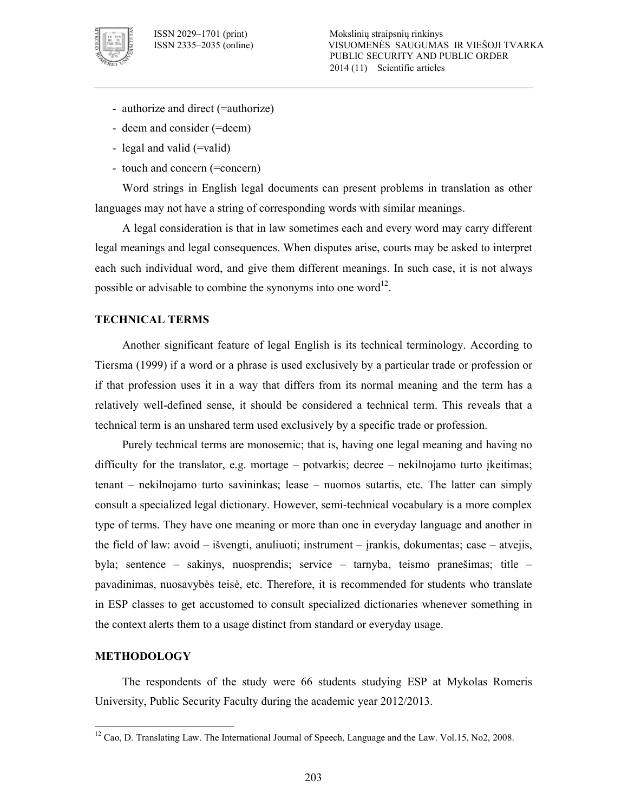

- authorize and direct (=authorize)
- deem and consider (=deem)
- legal and valid (=valid)
- touch and concern (=concern)

Word strings in English legal documents can present problems in translation as other languages may not have a string of corresponding words with similar meanings.

A legal consideration is that in law sometimes each and every word may carry different legal meanings and legal consequences. When disputes arise, courts may be asked to interpret each such individual word, and give them different meanings. In such case, it is not always possible or advisable to combine the synonyms into one word<sup>12</sup>.

#### **TECHNICAL TERMS**

Another significant feature of legal English is its technical terminology. According to Tiersma (1999) if a word or a phrase is used exclusively by a particular trade or profession or if that profession uses it in a way that differs from its normal meaning and the term has a relatively well-defined sense, it should be considered a technical term. This reveals that a technical term is an unshared term used exclusively by a specific trade or profession.

Purely technical terms are monosemic; that is, having one legal meaning and having no difficulty for the translator, e.g. mortage – potvarkis; decree – nekilnojamo turto įkeitimas; tenant – nekilnojamo turto savininkas; lease – nuomos sutartis, etc. The latter can simply consult a specialized legal dictionary. However, semitechnical vocabulary is a more complex type of terms. They have one meaning or more than one in everyday language and another in the field of law: avoid – išvengti, anuliuoti; instrument – įrankis, dokumentas; case – atvejis, byla; sentence – sakinys, nuosprendis; service – tarnyba, teismo pranešimas; title – pavadinimas, nuosavybės teisė, etc. Therefore, it is recommended for students who translate in ESP classes to get accustomed to consult specialized dictionaries whenever something in the context alerts them to a usage distinct from standard or everyday usage.

### **METHODOLOGY**

 $\overline{a}$ 

The respondents of the study were 66 students studying ESP at Mykolas Romeris University, Public Security Faculty during the academic year 2012/2013.

<sup>&</sup>lt;sup>12</sup> Cao, D. Translating Law. The International Journal of Speech, Language and the Law. Vol.15, No2, 2008.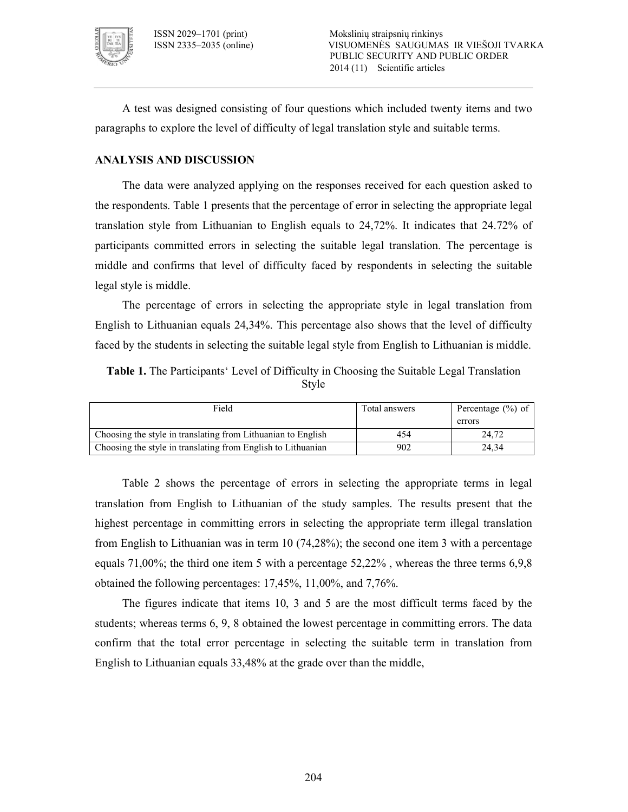

A test was designed consisting of four questions which included twenty items and two paragraphs to explore the level of difficulty of legal translation style and suitable terms.

## **ANALYSIS AND DISCUSSION**

The data were analyzed applying on the responses received for each question asked to the respondents. Table 1 presents that the percentage of error in selecting the appropriate legal translation style from Lithuanian to English equals to 24,72%. It indicates that 24.72% of participants committed errors in selecting the suitable legal translation. The percentage is middle and confirms that level of difficulty faced by respondents in selecting the suitable legal style is middle.

The percentage of errors in selecting the appropriate style in legal translation from English to Lithuanian equals 24,34%. This percentage also shows that the level of difficulty faced by the students in selecting the suitable legal style from English to Lithuanian is middle.

**Table 1.** The Participants' Level of Difficulty in Choosing the Suitable Legal Translation Style

| Field                                                        | Total answers | Percentage $(\% )$ of |
|--------------------------------------------------------------|---------------|-----------------------|
|                                                              |               | errors                |
| Choosing the style in translating from Lithuanian to English | 454           | 24.72                 |
| Choosing the style in translating from English to Lithuanian | 902           | 24.34                 |

Table 2 shows the percentage of errors in selecting the appropriate terms in legal translation from English to Lithuanian of the study samples. The results present that the highest percentage in committing errors in selecting the appropriate term illegal translation from English to Lithuanian was in term 10 (74,28%); the second one item 3 with a percentage equals 71,00%; the third one item 5 with a percentage 52,22% , whereas the three terms 6,9,8 obtained the following percentages: 17,45%, 11,00%, and 7,76%.

The figures indicate that items 10, 3 and 5 are the most difficult terms faced by the students; whereas terms 6, 9, 8 obtained the lowest percentage in committing errors. The data confirm that the total error percentage in selecting the suitable term in translation from English to Lithuanian equals 33,48% at the grade over than the middle,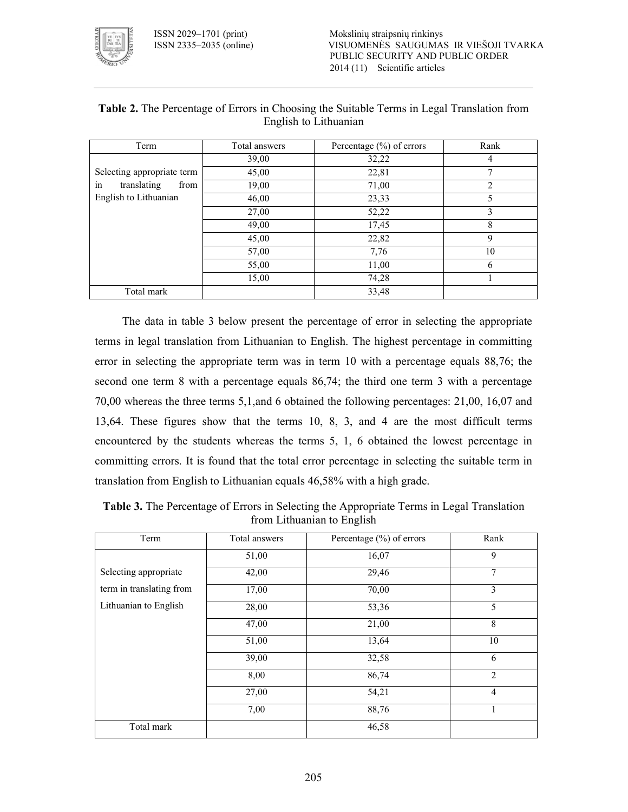ISSN 2029–1701 (print) Mokslinių straipsnių rinkinys VISUOMENĖS SAUGUMAS IR VIEŠOJI TVARKA PUBLIC SECURITY AND PUBLIC ORDER 2014 (11) Scientific articles



| Term                       | Total answers | Percentage $(\% )$ of errors | Rank |
|----------------------------|---------------|------------------------------|------|
|                            | 39,00         | 32,22                        | 4    |
| Selecting appropriate term | 45,00         | 22,81                        |      |
| in<br>translating<br>from  | 19,00         | 71,00                        | 2    |
| English to Lithuanian      | 46,00         | 23,33                        | 5    |
|                            | 27,00         | 52,22                        | 3    |
|                            | 49,00         | 17,45                        | 8    |
|                            | 45,00         | 22,82                        | 9    |
|                            | 57,00         | 7,76                         | 10   |
|                            | 55,00         | 11,00                        | 6    |
|                            | 15,00         | 74,28                        |      |
| Total mark                 |               | 33,48                        |      |

### **Table 2.** The Percentage of Errors in Choosing the Suitable Terms in Legal Translation from English to Lithuanian

The data in table 3 below present the percentage of error in selecting the appropriate terms in legal translation from Lithuanian to English. The highest percentage in committing error in selecting the appropriate term was in term 10 with a percentage equals 88,76; the second one term 8 with a percentage equals 86,74; the third one term 3 with a percentage 70,00 whereas the three terms 5,1,and 6 obtained the following percentages: 21,00, 16,07 and 13,64. These figures show that the terms 10, 8, 3, and 4 are the most difficult terms encountered by the students whereas the terms 5, 1, 6 obtained the lowest percentage in committing errors. It is found that the total error percentage in selecting the suitable term in translation from English to Lithuanian equals 46,58% with a high grade.

| Term                     | Total answers | Percentage $(\% )$ of errors | Rank           |
|--------------------------|---------------|------------------------------|----------------|
|                          | 51,00         | 16,07                        | 9              |
| Selecting appropriate    | 42,00         | 29,46                        | 7              |
| term in translating from | 17,00         | 70,00                        | 3              |
| Lithuanian to English    | 28,00         | 53,36                        | 5              |
|                          | 47,00         | 21,00                        | 8              |
|                          | 51,00         | 13,64                        | 10             |
|                          | 39,00         | 32,58                        | 6              |
|                          | 8,00          | 86,74                        | $\overline{2}$ |
|                          | 27,00         | 54,21                        | $\overline{4}$ |
|                          | 7,00          | 88,76                        | 1              |
| Total mark               |               | 46,58                        |                |

| <b>Table 3.</b> The Percentage of Errors in Selecting the Appropriate Terms in Legal Translation |
|--------------------------------------------------------------------------------------------------|
| from Lithuanian to English                                                                       |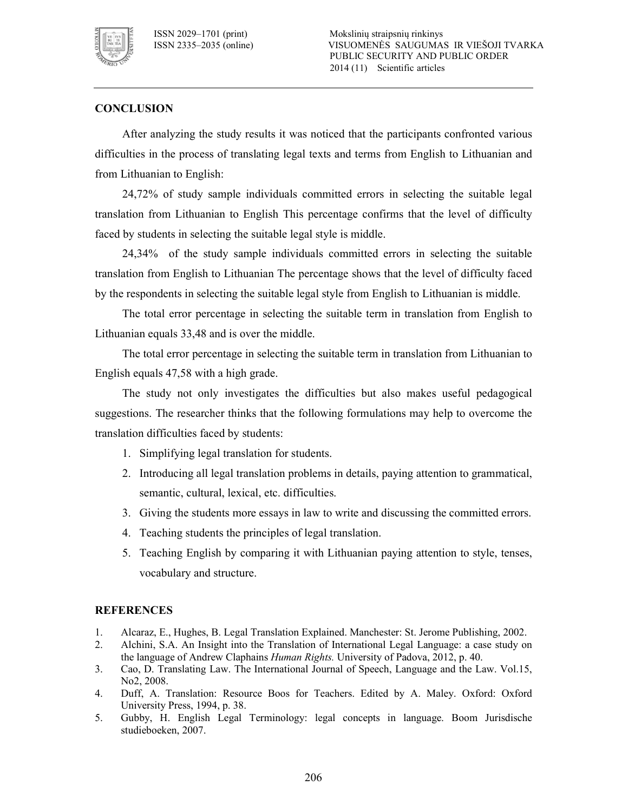

## **CONCLUSION**

After analyzing the study results it was noticed that the participants confronted various difficulties in the process of translating legal texts and terms from English to Lithuanian and from Lithuanian to English:

24,72% of study sample individuals committed errors in selecting the suitable legal translation from Lithuanian to English This percentage confirms that the level of difficulty faced by students in selecting the suitable legal style is middle.

24,34% of the study sample individuals committed errors in selecting the suitable translation from English to Lithuanian The percentage shows that the level of difficulty faced by the respondents in selecting the suitable legal style from English to Lithuanian is middle.

The total error percentage in selecting the suitable term in translation from English to Lithuanian equals 33,48 and is over the middle.

The total error percentage in selecting the suitable term in translation from Lithuanian to English equals 47,58 with a high grade.

The study not only investigates the difficulties but also makes useful pedagogical suggestions. The researcher thinks that the following formulations may help to overcome the translation difficulties faced by students:

- 1. Simplifying legal translation for students.
- 2. Introducing all legal translation problems in details, paying attention to grammatical, semantic, cultural, lexical, etc. difficulties.
- 3. Giving the students more essays in law to write and discussing the committed errors.
- 4. Teaching students the principles of legal translation.
- 5. Teaching English by comparing it with Lithuanian paying attention to style, tenses, vocabulary and structure.

#### **REFERENCES**

- 1. Alcaraz, E., Hughes, B. Legal Translation Explained. Manchester: St. Jerome Publishing, 2002.
- 2. Alchini, S.A. An Insight into the Translation of International Legal Language: a case study on the language of Andrew Claphains *Human Rights.* University of Padova, 2012, p. 40.
- 3. Cao, D. Translating Law. The International Journal of Speech, Language and the Law. Vol.15, No2, 2008.
- 4. Duff, A. Translation: Resource Boos for Teachers. Edited by A. Maley. Oxford: Oxford University Press, 1994, p. 38.
- 5. Gubby, H. English Legal Terminology: legal concepts in language. Boom Jurisdische studieboeken, 2007.